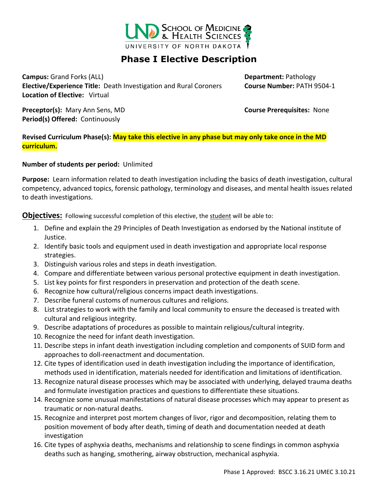

## **Phase I Elective Description**

**Campus:** Grand Forks (ALL) **Department:** Pathology **Elective/Experience Title:** Death Investigation and Rural Coroners **Course Number:** PATH 9504-1 **Location of Elective:** Virtual

**Preceptor(s):** Mary Ann Sens, MD **Course Prerequisites:** None **Period(s) Offered:** Continuously

**Revised Curriculum Phase(s): May take this elective in any phase but may only take once in the MD curriculum.**

**Number of students per period:** Unlimited

**Purpose:** Learn information related to death investigation including the basics of death investigation, cultural competency, advanced topics, forensic pathology, terminology and diseases, and mental health issues related to death investigations.

**Objectives:** Following successful completion of this elective, the student will be able to:

- 1. Define and explain the 29 Principles of Death Investigation as endorsed by the National institute of Justice.
- 2. Identify basic tools and equipment used in death investigation and appropriate local response strategies.
- 3. Distinguish various roles and steps in death investigation.
- 4. Compare and differentiate between various personal protective equipment in death investigation.
- 5. List key points for first responders in preservation and protection of the death scene.
- 6. Recognize how cultural/religious concerns impact death investigations.
- 7. Describe funeral customs of numerous cultures and religions.
- 8. List strategies to work with the family and local community to ensure the deceased is treated with cultural and religious integrity.
- 9. Describe adaptations of procedures as possible to maintain religious/cultural integrity.
- 10. Recognize the need for infant death investigation.
- 11. Describe steps in infant death investigation including completion and components of SUID form and approaches to doll-reenactment and documentation.
- 12. Cite types of identification used in death investigation including the importance of identification, methods used in identification, materials needed for identification and limitations of identification.
- 13. Recognize natural disease processes which may be associated with underlying, delayed trauma deaths and formulate investigation practices and questions to differentiate these situations.
- 14. Recognize some unusual manifestations of natural disease processes which may appear to present as traumatic or non-natural deaths.
- 15. Recognize and interpret post mortem changes of livor, rigor and decomposition, relating them to position movement of body after death, timing of death and documentation needed at death investigation
- 16. Cite types of asphyxia deaths, mechanisms and relationship to scene findings in common asphyxia deaths such as hanging, smothering, airway obstruction, mechanical asphyxia.